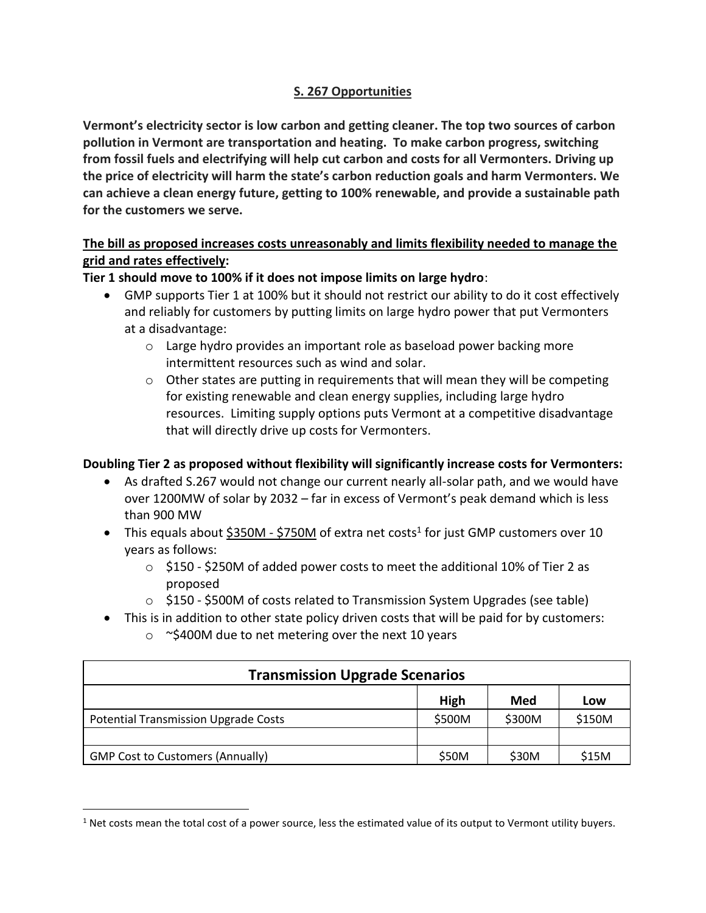# **S. 267 Opportunities**

**Vermont's electricity sector is low carbon and getting cleaner. The top two sources of carbon pollution in Vermont are transportation and heating. To make carbon progress, switching from fossil fuels and electrifying will help cut carbon and costs for all Vermonters. Driving up the price of electricity will harm the state's carbon reduction goals and harm Vermonters. We can achieve a clean energy future, getting to 100% renewable, and provide a sustainable path for the customers we serve.**

# **The bill as proposed increases costs unreasonably and limits flexibility needed to manage the grid and rates effectively:**

## **Tier 1 should move to 100% if it does not impose limits on large hydro**:

- GMP supports Tier 1 at 100% but it should not restrict our ability to do it cost effectively and reliably for customers by putting limits on large hydro power that put Vermonters at a disadvantage:
	- $\circ$  Large hydro provides an important role as baseload power backing more intermittent resources such as wind and solar.
	- $\circ$  Other states are putting in requirements that will mean they will be competing for existing renewable and clean energy supplies, including large hydro resources. Limiting supply options puts Vermont at a competitive disadvantage that will directly drive up costs for Vermonters.

# **Doubling Tier 2 as proposed without flexibility will significantly increase costs for Vermonters:**

- As drafted S.267 would not change our current nearly all-solar path, and we would have over 1200MW of solar by 2032 – far in excess of Vermont's peak demand which is less than 900 MW
- This equals about  $$350M $750M$  of extra net costs<sup>1</sup> for just GMP customers over 10 years as follows:
	- o \$150 \$250M of added power costs to meet the additional 10% of Tier 2 as proposed
	- o \$150 \$500M of costs related to Transmission System Upgrades (see table)
- This is in addition to other state policy driven costs that will be paid for by customers:
	- $\circ$  ~\$400M due to net metering over the next 10 years

| <b>Transmission Upgrade Scenarios</b>       |        |        |        |
|---------------------------------------------|--------|--------|--------|
|                                             | High   | Med    | Low    |
| <b>Potential Transmission Upgrade Costs</b> | \$500M | \$300M | \$150M |
|                                             |        |        |        |
| <b>GMP Cost to Customers (Annually)</b>     | \$50M  | \$30M  | \$15M  |

 $1$  Net costs mean the total cost of a power source, less the estimated value of its output to Vermont utility buyers.